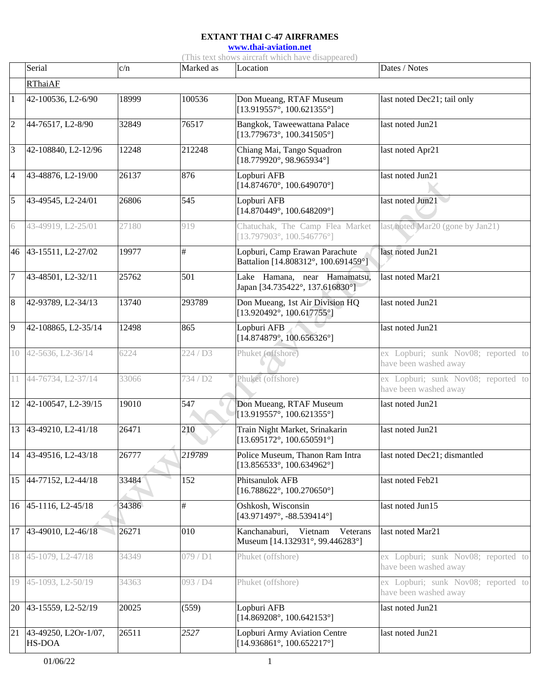**[www.thai-aviation.net](http://www.thai-aviation.net/)**

(This text shows aircraft which have disappeared)

|                 | Serial                                | c/n   | Marked as            | Location                                                                     | Dates / Notes                                                |
|-----------------|---------------------------------------|-------|----------------------|------------------------------------------------------------------------------|--------------------------------------------------------------|
|                 | <b>RThaiAF</b>                        |       |                      |                                                                              |                                                              |
| $\mathbf{1}$    | 42-100536, L2-6/90                    | 18999 | 100536               | Don Mueang, RTAF Museum<br>$[13.919557^{\circ}, 100.621355^{\circ}]$         | last noted Dec21; tail only                                  |
| $\overline{c}$  | 44-76517, L2-8/90                     | 32849 | 76517                | Bangkok, Taweewattana Palace<br>$[13.779673^{\circ}, 100.341505^{\circ}]$    | last noted Jun21                                             |
| 3               | 42-108840, L2-12/96                   | 12248 | 212248               | Chiang Mai, Tango Squadron<br>$[18.779920^{\circ}, 98.965934^{\circ}]$       | last noted Apr21                                             |
| $\overline{4}$  | 43-48876, L2-19/00                    | 26137 | 876                  | Lopburi AFB<br>$[14.874670^{\circ}, 100.649070^{\circ}]$                     | last noted Jun21                                             |
| $\overline{5}$  | 43-49545, L2-24/01                    | 26806 | 545                  | Lopburi AFB<br>$[14.870449^{\circ}, 100.648209^{\circ}]$                     | last noted Jun21                                             |
| 6               | 43-49919, L2-25/01                    | 27180 | 919                  | Chatuchak, The Camp Flea Market<br>$[13.797903^{\circ}, 100.546776^{\circ}]$ | last noted Mar20 (gone by Jan21)                             |
|                 | 46 43-15511, L2-27/02                 | 19977 | $\#$                 | Lopburi, Camp Erawan Parachute<br>Battalion [14.808312°, 100.691459°]        | last noted Jun21                                             |
| $\overline{7}$  | 43-48501, L2-32/11                    | 25762 | 501                  | Lake Hamana, near Hamamatsu,<br>Japan [34.735422°, 137.616830°]              | last noted Mar21                                             |
| $\overline{8}$  | 42-93789, L2-34/13                    | 13740 | 293789               | Don Mueang, 1st Air Division HQ<br>$[13.920492^{\circ}, 100.617755^{\circ}]$ | last noted Jun21                                             |
| $\overline{9}$  | 42-108865, L2-35/14                   | 12498 | 865                  | Lopburi AFB<br>$[14.874879^{\circ}, 100.656326^{\circ}]$                     | last noted Jun21                                             |
| 10              | 42-5636, L2-36/14                     | 6224  | 224/D3               | Phuket (offshore)                                                            | ex Lopburi; sunk Nov08; reported to<br>have been washed away |
|                 | 11 44-76734, L2-37/14                 | 33066 | 734 / D <sub>2</sub> | Phuket (offshore)                                                            | ex Lopburi; sunk Nov08; reported to<br>have been washed away |
| 12              | 42-100547, L2-39/15                   | 19010 | 547                  | Don Mueang, RTAF Museum<br>$[13.919557^{\circ}, 100.621355^{\circ}]$         | last noted Jun21                                             |
|                 | 13 43-49210, L2-41/18                 | 26471 | 210                  | Train Night Market, Srinakarin<br>$[13.695172^{\circ}, 100.650591^{\circ}]$  | last noted Jun21                                             |
|                 | 14 43-49516, L2-43/18                 | 26777 | 219789               | Police Museum, Thanon Ram Intra<br>$[13.856533^{\circ}, 100.634962^{\circ}]$ | last noted Dec21; dismantled                                 |
|                 | 15 44-77152, L2-44/18                 | 33484 | 152                  | Phitsanulok AFB<br>$[16.788622^{\circ}, 100.270650^{\circ}]$                 | last noted Feb21                                             |
|                 | 16 45-1116, L2-45/18                  | 34386 | $\#$                 | Oshkosh, Wisconsin<br>$[43.971497^{\circ}, -88.539414^{\circ}]$              | last noted Jun15                                             |
|                 | 17 43-49010, L2-46/18                 | 26271 | 010                  | Kanchanaburi, Vietnam<br>Veterans<br>Museum [14.132931°, 99.446283°]         | last noted Mar21                                             |
| 18              | 45-1079, L2-47/18                     | 34349 | 079/D1               | Phuket (offshore)                                                            | ex Lopburi; sunk Nov08; reported to<br>have been washed away |
| 19              | 45-1093, L2-50/19                     | 34363 | 093 / D4             | Phuket (offshore)                                                            | ex Lopburi; sunk Nov08; reported to<br>have been washed away |
| 20              | 43-15559, L2-52/19                    | 20025 | (559)                | Lopburi AFB<br>$[14.869208^\circ, 100.642153^\circ]$                         | last noted Jun21                                             |
| $\overline{21}$ | 43-49250, L2Or-1/07,<br><b>HS-DOA</b> | 26511 | 2527                 | Lopburi Army Aviation Centre<br>$[14.936861^\circ, 100.652217^\circ]$        | last noted Jun21                                             |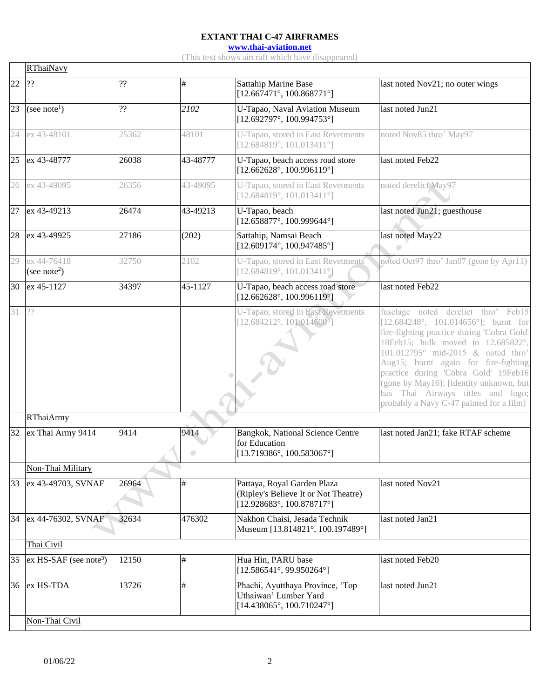**[www.thai-aviation.net](http://www.thai-aviation.net/)**

(This text shows aircraft which have disappeared)

|       | <b>RThaiNavy</b>                        |                              |          |                                                                                                                  |                                                                                                                                                                                                                                                                                                                                                                                                                                |  |  |  |
|-------|-----------------------------------------|------------------------------|----------|------------------------------------------------------------------------------------------------------------------|--------------------------------------------------------------------------------------------------------------------------------------------------------------------------------------------------------------------------------------------------------------------------------------------------------------------------------------------------------------------------------------------------------------------------------|--|--|--|
| 22    | ??                                      | $\boldsymbol ?\boldsymbol ?$ | #        | <b>Sattahip Marine Base</b><br>$[12.667471^\circ, 100.868771^\circ]$                                             | last noted Nov21; no outer wings                                                                                                                                                                                                                                                                                                                                                                                               |  |  |  |
| 23    | (see note <sup>1</sup> )                | ??                           | 2102     | U-Tapao, Naval Aviation Museum<br>[12.692797°, 100.994753°]                                                      | last noted Jun21                                                                                                                                                                                                                                                                                                                                                                                                               |  |  |  |
|       | 24 ex 43-48101                          | 25362                        | 48101    | U-Tapao, stored in East Revetments<br>$[12.684819^\circ, 101.013411^\circ]$                                      | noted Nov85 thro' May97                                                                                                                                                                                                                                                                                                                                                                                                        |  |  |  |
| 25    | ex 43-48777                             | 26038                        | 43-48777 | U-Tapao, beach access road store<br>$[12.662628^{\circ}, 100.996119^{\circ}]$                                    | last noted Feb22                                                                                                                                                                                                                                                                                                                                                                                                               |  |  |  |
|       | 26 ex 43-49095                          | 26356                        | 43-49095 | U-Tapao, stored in East Revetments<br>$[12.684819^\circ, 101.013411^\circ]$                                      | noted derelict May97                                                                                                                                                                                                                                                                                                                                                                                                           |  |  |  |
|       | 27 ex 43-49213                          | 26474                        | 43-49213 | U-Tapao, beach<br>$[12.658877^{\circ}, 100.999644^{\circ}]$                                                      | last noted Jun21; guesthouse                                                                                                                                                                                                                                                                                                                                                                                                   |  |  |  |
| 28    | ex 43-49925                             | 27186                        | (202)    | Sattahip, Namsai Beach<br>$[12.609174^{\circ}, 100.947485^{\circ}]$                                              | last noted May22                                                                                                                                                                                                                                                                                                                                                                                                               |  |  |  |
| 29    | ex 44-76418<br>(see note <sup>2</sup> ) | 32750                        | 2102     | U-Tapao, stored in East Revetments<br>$[12.684819^\circ, 101.013411^\circ]$                                      | noted Oct97 thro' Jan07 (gone by Apr11)                                                                                                                                                                                                                                                                                                                                                                                        |  |  |  |
| 30    | ex 45-1127                              | 34397                        | 45-1127  | U-Tapao, beach access road store<br>$[12.662628^{\circ}, 100.996119^{\circ}]$                                    | last noted Feb22                                                                                                                                                                                                                                                                                                                                                                                                               |  |  |  |
| 31 ?? |                                         |                              |          | U-Tapao, stored in East Revetments<br>$[12.684212^{\circ}, 101.014600^{\circ}]$                                  | fuselage noted derelict thro' Feb15<br>$[12.684248^\circ, 101.014656^\circ]$ ; burnt for<br>fire-fighting practice during 'Cobra Gold'<br>18Feb15; hulk moved to 12.685822°,<br>101.012795° mid-2015 & noted thro'<br>Aug15; burnt again for fire-fighting<br>practice during 'Cobra Gold' 19Feb16<br>(gone by May16); [identity unknown, but<br>has Thai Airways titles and logo;<br>probably a Navy C-47 painted for a film] |  |  |  |
|       | <b>RThaiArmy</b>                        |                              |          |                                                                                                                  |                                                                                                                                                                                                                                                                                                                                                                                                                                |  |  |  |
| 32    | ex Thai Army 9414                       | 9414                         | 9414     | Bangkok, National Science Centre<br>for Education<br>$[13.719386^{\circ}, 100.583067^{\circ}]$                   | last noted Jan21; fake RTAF scheme                                                                                                                                                                                                                                                                                                                                                                                             |  |  |  |
|       | Non-Thai Military                       |                              |          |                                                                                                                  |                                                                                                                                                                                                                                                                                                                                                                                                                                |  |  |  |
| 33    | ex 43-49703, SVNAF                      | 26964                        | $\#$     | Pattaya, Royal Garden Plaza<br>(Ripley's Believe It or Not Theatre)<br>$[12.928683^{\circ}, 100.878717^{\circ}]$ | last noted Nov21                                                                                                                                                                                                                                                                                                                                                                                                               |  |  |  |
| 34    | ex 44-76302, SVNAF                      | 32634                        | 476302   | Nakhon Chaisi, Jesada Technik<br>Museum [13.814821°, 100.197489°]                                                | last noted Jan21                                                                                                                                                                                                                                                                                                                                                                                                               |  |  |  |
|       | Thai Civil                              |                              |          |                                                                                                                  |                                                                                                                                                                                                                                                                                                                                                                                                                                |  |  |  |
| 35    | $ex$ HS-SAF (see note <sup>3</sup> )    | 12150                        | #        | Hua Hin, PARU base<br>$[12.586541^{\circ}, 99.950264^{\circ}]$                                                   | last noted Feb20                                                                                                                                                                                                                                                                                                                                                                                                               |  |  |  |
| 36    | ex HS-TDA                               | 13726                        | #        | Phachi, Ayutthaya Province, 'Top<br>Uthaiwan' Lumber Yard<br>$[14.438065^{\circ}, 100.710247^{\circ}]$           | last noted Jun21                                                                                                                                                                                                                                                                                                                                                                                                               |  |  |  |
|       | Non-Thai Civil                          |                              |          |                                                                                                                  |                                                                                                                                                                                                                                                                                                                                                                                                                                |  |  |  |

 $\Gamma$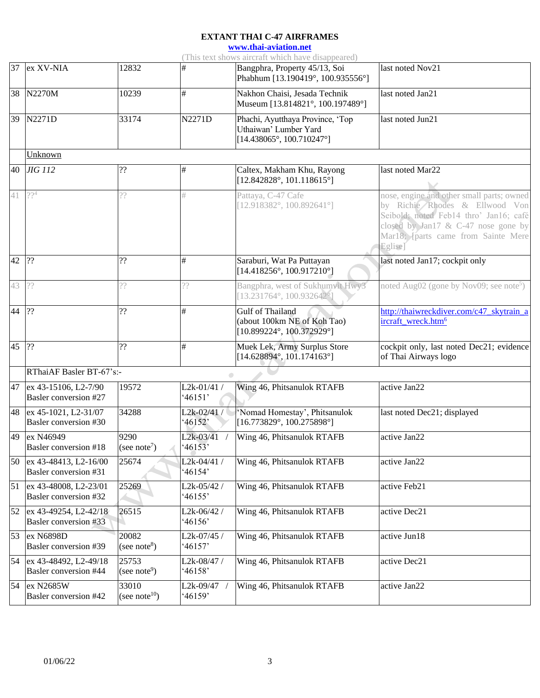**[www.thai-aviation.net](http://www.thai-aviation.net/)**

(This text shows aircraft which have disappeared)

|                 |                                                  |                                    |                                  | $(1 \text{ m/s})$ was snows an erail which have disappeared)                                           |                                                                                                                                                                                                                |  |  |
|-----------------|--------------------------------------------------|------------------------------------|----------------------------------|--------------------------------------------------------------------------------------------------------|----------------------------------------------------------------------------------------------------------------------------------------------------------------------------------------------------------------|--|--|
|                 | 37 ex XV-NIA                                     | 12832                              | #                                | Bangphra, Property 45/13, Soi<br>Phabhum [13.190419°, 100.935556°]                                     | last noted Nov21                                                                                                                                                                                               |  |  |
|                 | 38 N2270M                                        | 10239                              | $\#$                             | Nakhon Chaisi, Jesada Technik<br>Museum [13.814821°, 100.197489°]                                      | last noted Jan21                                                                                                                                                                                               |  |  |
|                 | 39 N2271D                                        | 33174                              | N2271D                           | Phachi, Ayutthaya Province, 'Top<br>Uthaiwan' Lumber Yard<br>$[14.438065^{\circ}, 100.710247^{\circ}]$ | last noted Jun21                                                                                                                                                                                               |  |  |
|                 | Unknown                                          |                                    |                                  |                                                                                                        |                                                                                                                                                                                                                |  |  |
|                 | 40 JIG 112                                       | ??                                 | #                                | Caltex, Makham Khu, Rayong<br>$[12.842828^{\circ}, 101.118615^{\circ}]$                                | last noted Mar22                                                                                                                                                                                               |  |  |
| $\overline{41}$ | 22 <sup>4</sup>                                  | ??                                 | #                                | Pattaya, C-47 Cafe<br>$[12.918382^\circ, 100.892641^\circ]$                                            | nose, engine and other small parts; owned<br>by Richie Rhodes & Ellwood Von<br>Seibold; noted Feb14 thro' Jan16; café<br>closed by Jan17 & C-47 nose gone by<br>Mar18; [parts came from Sainte Mere<br>Eglise] |  |  |
| 42              | ??                                               | ??                                 | #                                | Saraburi, Wat Pa Puttayan<br>$[14.418256^{\circ}, 100.917210^{\circ}]$                                 | last noted Jan17; cockpit only                                                                                                                                                                                 |  |  |
| 43              | ??                                               | ??                                 | ??                               | Bangphra, west of Sukhumvit Hwy3<br>[13.231764°, 100.932642°                                           | noted Aug02 (gone by Nov09; see note <sup>5</sup> )                                                                                                                                                            |  |  |
| $\overline{44}$ | ??                                               | ??                                 | #                                | Gulf of Thailand<br>(about 100km NE of Koh Tao)<br>$[10.899224^{\circ}, 100.372929^{\circ}]$           | http://thaiwreckdiver.com/c47_skytrain_a<br>ircraft_wreck.htm <sup>6</sup>                                                                                                                                     |  |  |
| 45              | ??                                               | ??                                 | #                                | Muek Lek, Army Surplus Store<br>$[14.628894^{\circ}, 101.174163^{\circ}]$                              | cockpit only, last noted Dec21; evidence<br>of Thai Airways logo                                                                                                                                               |  |  |
|                 | RThaiAF Basler BT-67's:-                         |                                    |                                  |                                                                                                        |                                                                                                                                                                                                                |  |  |
|                 | 47 ex 43-15106, L2-7/90<br>Basler conversion #27 | 19572                              | $L2k-01/41/$<br>46151'           | Wing 46, Phitsanulok RTAFB                                                                             | active Jan22                                                                                                                                                                                                   |  |  |
| 48              | ex 45-1021, L2-31/07<br>Basler conversion #30    | 34288                              | $L2k-02/41/$<br>46152'           | 'Nomad Homestay', Phitsanulok<br>$[16.773829^\circ, 100.275898^\circ]$                                 | last noted Dec21; displayed                                                                                                                                                                                    |  |  |
| $\overline{49}$ | ex N46949<br>Basler conversion #18               | 9290<br>(see note <sup>7</sup> )   | L <sub>2</sub> k-03/41<br>46153' | Wing 46, Phitsanulok RTAFB                                                                             | active Jan22                                                                                                                                                                                                   |  |  |
| 50              | ex 43-48413, L2-16/00<br>Basler conversion #31   | 25674                              | L2k-04/41 /<br>46154'            | Wing 46, Phitsanulok RTAFB                                                                             | active Jan22                                                                                                                                                                                                   |  |  |
| $\overline{51}$ | ex 43-48008, L2-23/01<br>Basler conversion #32   | 25269                              | $L2k-05/42/$<br>46155'           | Wing 46, Phitsanulok RTAFB                                                                             | active Feb21                                                                                                                                                                                                   |  |  |
| 52              | ex 43-49254, L2-42/18<br>Basler conversion #33   | 26515                              | $L2k-06/42/$<br>46156'           | Wing 46, Phitsanulok RTAFB                                                                             | active Dec21                                                                                                                                                                                                   |  |  |
| 53              | ex N6898D<br>Basler conversion #39               | 20082<br>(see note <sup>8</sup> )  | L2k-07/45 /<br>46157'            | Wing 46, Phitsanulok RTAFB                                                                             | active Jun18                                                                                                                                                                                                   |  |  |
| 54              | ex 43-48492, L2-49/18<br>Basler conversion #44   | 25753<br>(see note <sup>9</sup> )  | L2k-08/47 /<br>46158'            | Wing 46, Phitsanulok RTAFB                                                                             | active Dec21                                                                                                                                                                                                   |  |  |
| 54              | ex N2685W<br>Basler conversion #42               | 33010<br>(see note <sup>10</sup> ) | L2k-09/47<br>46159'              | Wing 46, Phitsanulok RTAFB                                                                             | active Jan22                                                                                                                                                                                                   |  |  |